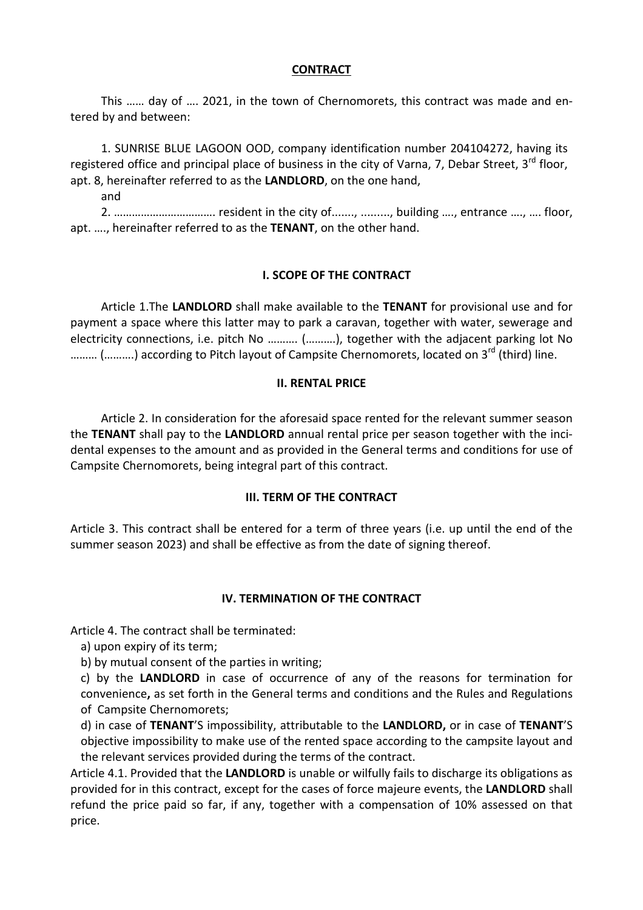## **CONTRACT**

This …… day of …. 2021, in the town of Chernomorets, this contract was made and entered by and between:

1. SUNRISE BLUE LAGOON OOD, company identification number 204104272, having its registered office and principal place of business in the city of Varna, 7, Debar Street, 3<sup>rd</sup> floor, apt. 8, hereinafter referred to as the **LANDLORD**, on the one hand,

and

2. ……………………………. resident in the city of......., ........., building …., entrance …., …. floor, apt. …., hereinafter referred to as the **TENANT**, on the other hand.

## **І. SCOPE OF THE CONTRACT**

Article 1.The **LANDLORD** shall make available to the **TENANT** for provisional use and for payment a space where this latter may to park a caravan, together with water, sewerage and electricity connections, i.e. pitch No ………. (……….), together with the adjacent parking lot No ......... (..........) according to Pitch layout of Campsite Chernomorets, located on 3<sup>rd</sup> (third) line.

## **II. RENTAL PRICE**

Article 2. In consideration for the aforesaid space rented for the relevant summer season the **TENANT** shall pay to the **LANDLORD** annual rental price per season together with the incidental expenses to the amount and as provided in the General terms and conditions for use of Campsite Chernomorets, being integral part of this contract.

#### **III. TERM OF THE CONTRACT**

Article 3. This contract shall be entered for a term of three years (i.e. up until the end of the summer season 2023) and shall be effective as from the date of signing thereof.

#### **IV. TERMINATION OF THE CONTRACT**

Article 4. The contract shall be terminated:

а) upon expiry of its term;

b) by mutual consent of the parties in writing;

c) by the **LANDLORD** in case of occurrence of any of the reasons for termination for convenience**,** as set forth in the General terms and conditions and the Rules and Regulations of Campsite Chernomorets;

d) in case of **TENANT**'S impossibility, attributable to the **LANDLORD,** or in case of **TENANT**'S objective impossibility to make use of the rented space according to the campsite layout and the relevant services provided during the terms of the contract.

Article 4.1. Provided that the **LANDLORD** is unable or wilfully fails to discharge its obligations as provided for in this contract, except for the cases of force majeure events, the **LANDLORD** shall refund the price paid so far, if any, together with a compensation of 10% assessed on that price.